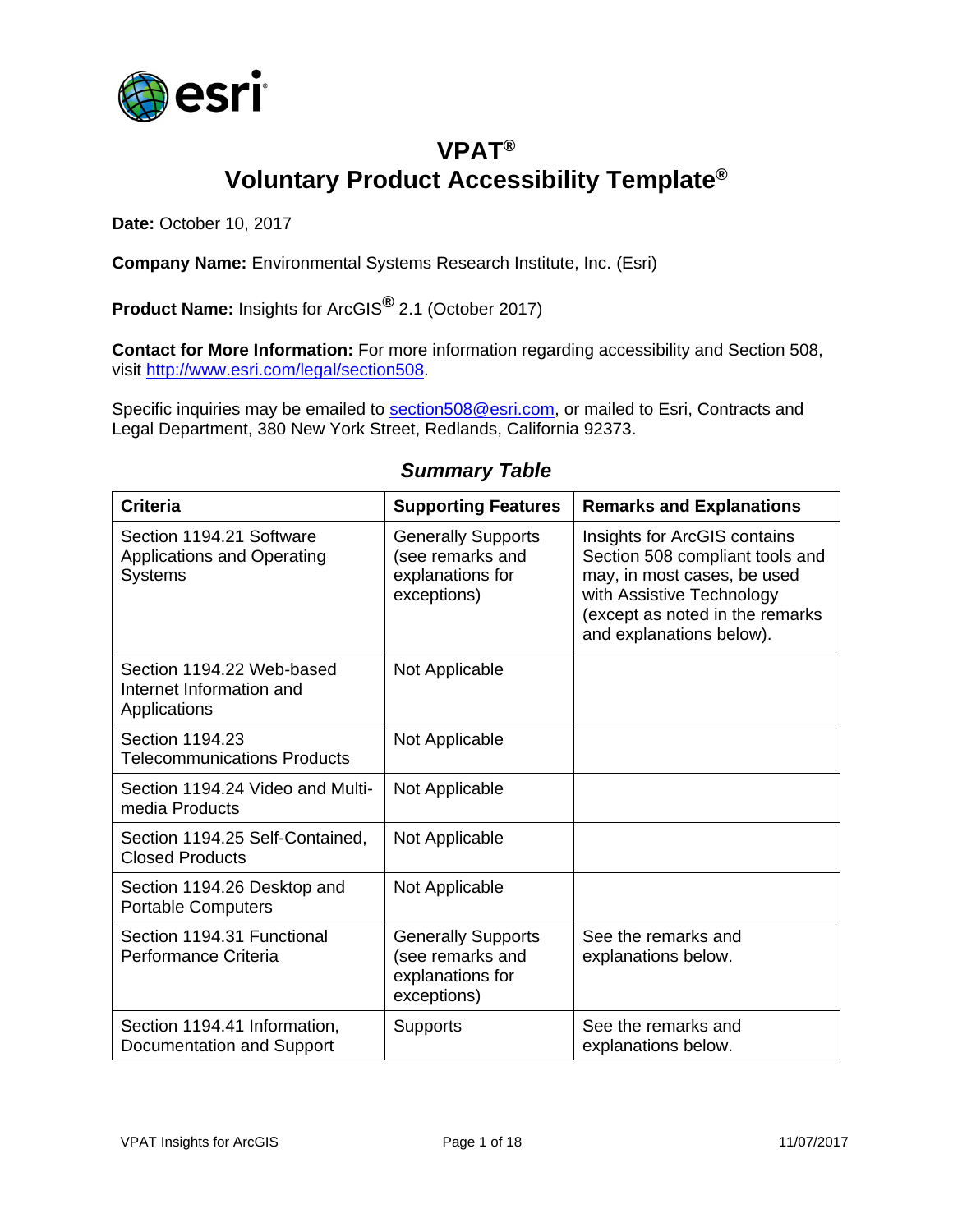

## **VPAT® Voluntary Product Accessibility Template®**

**Date:** October 10, 2017

**Company Name:** Environmental Systems Research Institute, Inc. (Esri)

**Product Name:** Insights for ArcGIS**®** 2.1 (October 2017)

**Contact for More Information:** For more information regarding accessibility and Section 508, visit [http://www.esri.com/legal/section508.](http://www.esri.com/legal/section508)

Specific inquiries may be emailed to [section508@esri.com,](mailto:section508@esri.com) or mailed to Esri, Contracts and Legal Department, 380 New York Street, Redlands, California 92373.

#### *Summary Table*

| <b>Criteria</b>                                                                 | <b>Supporting Features</b>                                                       | <b>Remarks and Explanations</b>                                                                                                                                                            |
|---------------------------------------------------------------------------------|----------------------------------------------------------------------------------|--------------------------------------------------------------------------------------------------------------------------------------------------------------------------------------------|
| Section 1194.21 Software<br><b>Applications and Operating</b><br><b>Systems</b> | <b>Generally Supports</b><br>(see remarks and<br>explanations for<br>exceptions) | Insights for ArcGIS contains<br>Section 508 compliant tools and<br>may, in most cases, be used<br>with Assistive Technology<br>(except as noted in the remarks<br>and explanations below). |
| Section 1194.22 Web-based<br>Internet Information and<br>Applications           | Not Applicable                                                                   |                                                                                                                                                                                            |
| Section 1194.23<br><b>Telecommunications Products</b>                           | Not Applicable                                                                   |                                                                                                                                                                                            |
| Section 1194.24 Video and Multi-<br>media Products                              | Not Applicable                                                                   |                                                                                                                                                                                            |
| Section 1194.25 Self-Contained,<br><b>Closed Products</b>                       | Not Applicable                                                                   |                                                                                                                                                                                            |
| Section 1194.26 Desktop and<br><b>Portable Computers</b>                        | Not Applicable                                                                   |                                                                                                                                                                                            |
| Section 1194.31 Functional<br>Performance Criteria                              | <b>Generally Supports</b><br>(see remarks and<br>explanations for<br>exceptions) | See the remarks and<br>explanations below.                                                                                                                                                 |
| Section 1194.41 Information,<br>Documentation and Support                       | <b>Supports</b>                                                                  | See the remarks and<br>explanations below.                                                                                                                                                 |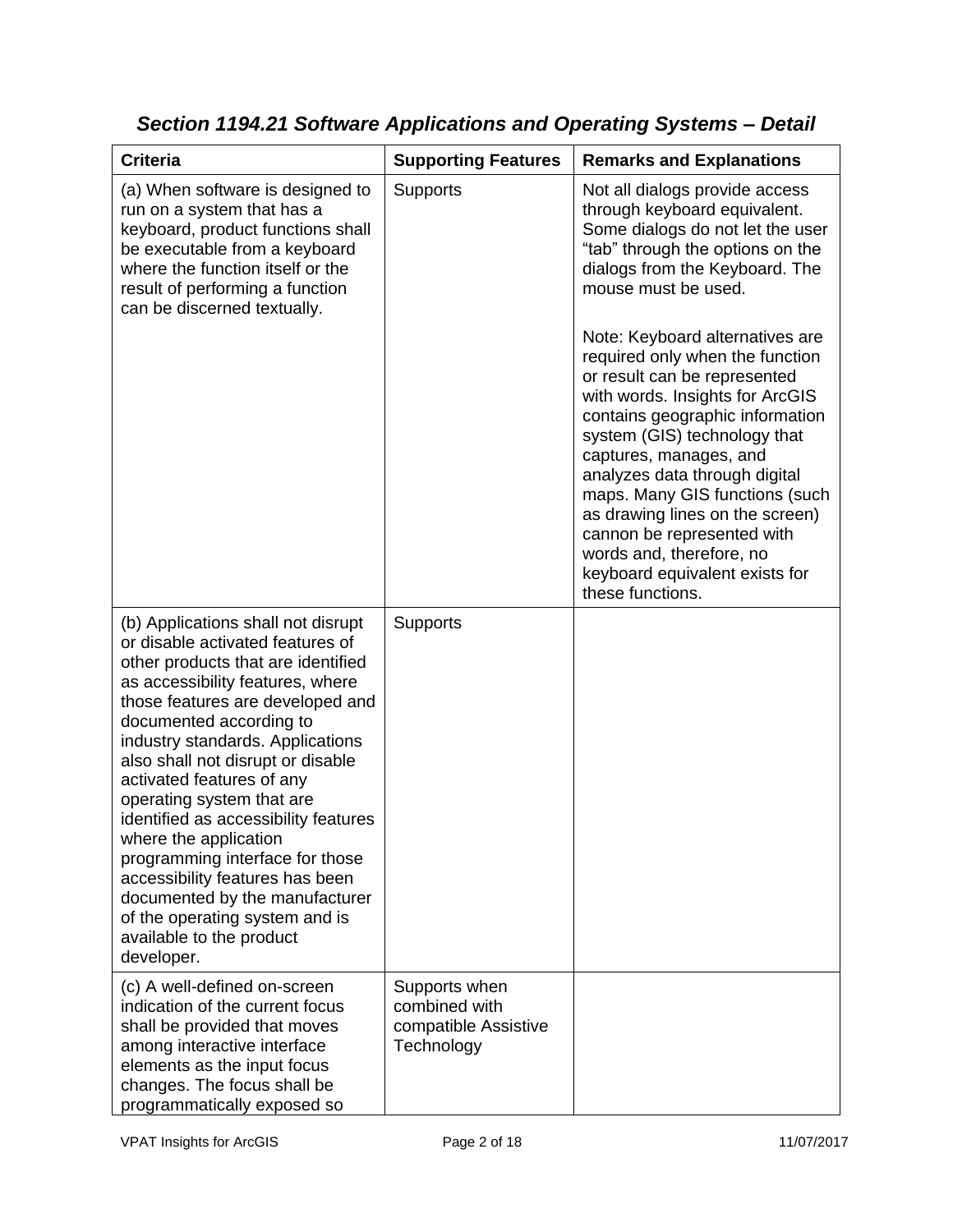| <b>Criteria</b>                                                                                                                                                                                                                                                                                                                                                                                                                                                                                                                                                                                         | <b>Supporting Features</b>                                           | <b>Remarks and Explanations</b>                                                                                                                                                                                                                                                                                                                                                                                                                          |
|---------------------------------------------------------------------------------------------------------------------------------------------------------------------------------------------------------------------------------------------------------------------------------------------------------------------------------------------------------------------------------------------------------------------------------------------------------------------------------------------------------------------------------------------------------------------------------------------------------|----------------------------------------------------------------------|----------------------------------------------------------------------------------------------------------------------------------------------------------------------------------------------------------------------------------------------------------------------------------------------------------------------------------------------------------------------------------------------------------------------------------------------------------|
| (a) When software is designed to<br>run on a system that has a<br>keyboard, product functions shall<br>be executable from a keyboard<br>where the function itself or the<br>result of performing a function<br>can be discerned textually.                                                                                                                                                                                                                                                                                                                                                              | <b>Supports</b>                                                      | Not all dialogs provide access<br>through keyboard equivalent.<br>Some dialogs do not let the user<br>"tab" through the options on the<br>dialogs from the Keyboard. The<br>mouse must be used.                                                                                                                                                                                                                                                          |
|                                                                                                                                                                                                                                                                                                                                                                                                                                                                                                                                                                                                         |                                                                      | Note: Keyboard alternatives are<br>required only when the function<br>or result can be represented<br>with words. Insights for ArcGIS<br>contains geographic information<br>system (GIS) technology that<br>captures, manages, and<br>analyzes data through digital<br>maps. Many GIS functions (such<br>as drawing lines on the screen)<br>cannon be represented with<br>words and, therefore, no<br>keyboard equivalent exists for<br>these functions. |
| (b) Applications shall not disrupt<br>or disable activated features of<br>other products that are identified<br>as accessibility features, where<br>those features are developed and<br>documented according to<br>industry standards. Applications<br>also shall not disrupt or disable<br>activated features of any<br>operating system that are<br>identified as accessibility features<br>where the application<br>programming interface for those<br>accessibility features has been<br>documented by the manufacturer<br>of the operating system and is<br>available to the product<br>developer. | Supports                                                             |                                                                                                                                                                                                                                                                                                                                                                                                                                                          |
| (c) A well-defined on-screen<br>indication of the current focus<br>shall be provided that moves<br>among interactive interface<br>elements as the input focus<br>changes. The focus shall be<br>programmatically exposed so                                                                                                                                                                                                                                                                                                                                                                             | Supports when<br>combined with<br>compatible Assistive<br>Technology |                                                                                                                                                                                                                                                                                                                                                                                                                                                          |

# *Section 1194.21 Software Applications and Operating Systems – Detail*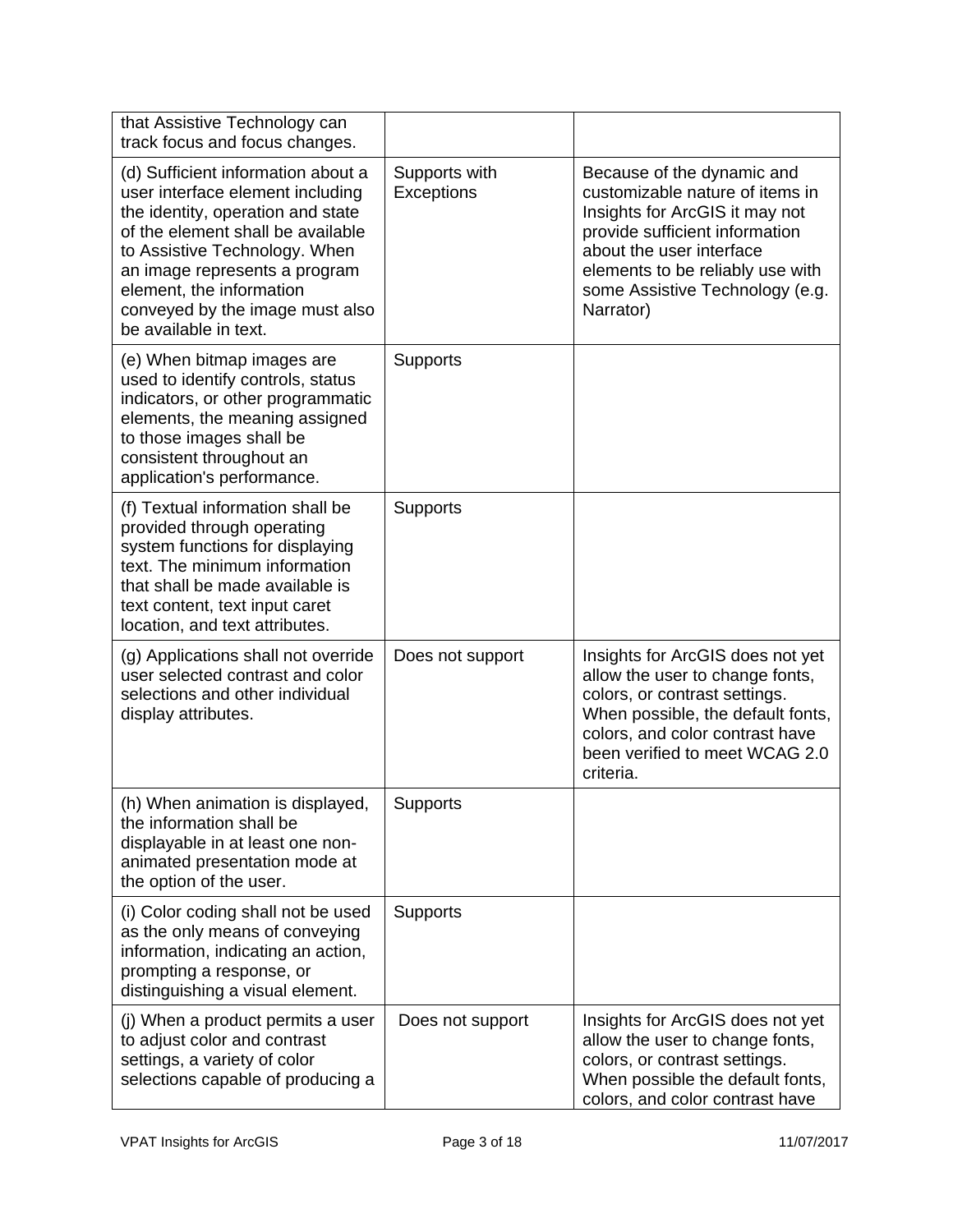| that Assistive Technology can<br>track focus and focus changes.                                                                                                                                                                                                                                            |                             |                                                                                                                                                                                                                                                   |
|------------------------------------------------------------------------------------------------------------------------------------------------------------------------------------------------------------------------------------------------------------------------------------------------------------|-----------------------------|---------------------------------------------------------------------------------------------------------------------------------------------------------------------------------------------------------------------------------------------------|
| (d) Sufficient information about a<br>user interface element including<br>the identity, operation and state<br>of the element shall be available<br>to Assistive Technology. When<br>an image represents a program<br>element, the information<br>conveyed by the image must also<br>be available in text. | Supports with<br>Exceptions | Because of the dynamic and<br>customizable nature of items in<br>Insights for ArcGIS it may not<br>provide sufficient information<br>about the user interface<br>elements to be reliably use with<br>some Assistive Technology (e.g.<br>Narrator) |
| (e) When bitmap images are<br>used to identify controls, status<br>indicators, or other programmatic<br>elements, the meaning assigned<br>to those images shall be<br>consistent throughout an<br>application's performance.                                                                               | Supports                    |                                                                                                                                                                                                                                                   |
| (f) Textual information shall be<br>provided through operating<br>system functions for displaying<br>text. The minimum information<br>that shall be made available is<br>text content, text input caret<br>location, and text attributes.                                                                  | Supports                    |                                                                                                                                                                                                                                                   |
| (g) Applications shall not override<br>user selected contrast and color<br>selections and other individual<br>display attributes.                                                                                                                                                                          | Does not support            | Insights for ArcGIS does not yet<br>allow the user to change fonts,<br>colors, or contrast settings.<br>When possible, the default fonts,<br>colors, and color contrast have<br>been verified to meet WCAG 2.0<br>criteria.                       |
| (h) When animation is displayed,<br>the information shall be<br>displayable in at least one non-<br>animated presentation mode at<br>the option of the user.                                                                                                                                               | Supports                    |                                                                                                                                                                                                                                                   |
| (i) Color coding shall not be used<br>as the only means of conveying<br>information, indicating an action,<br>prompting a response, or<br>distinguishing a visual element.                                                                                                                                 | Supports                    |                                                                                                                                                                                                                                                   |
| (j) When a product permits a user<br>to adjust color and contrast<br>settings, a variety of color<br>selections capable of producing a                                                                                                                                                                     | Does not support            | Insights for ArcGIS does not yet<br>allow the user to change fonts,<br>colors, or contrast settings.<br>When possible the default fonts,<br>colors, and color contrast have                                                                       |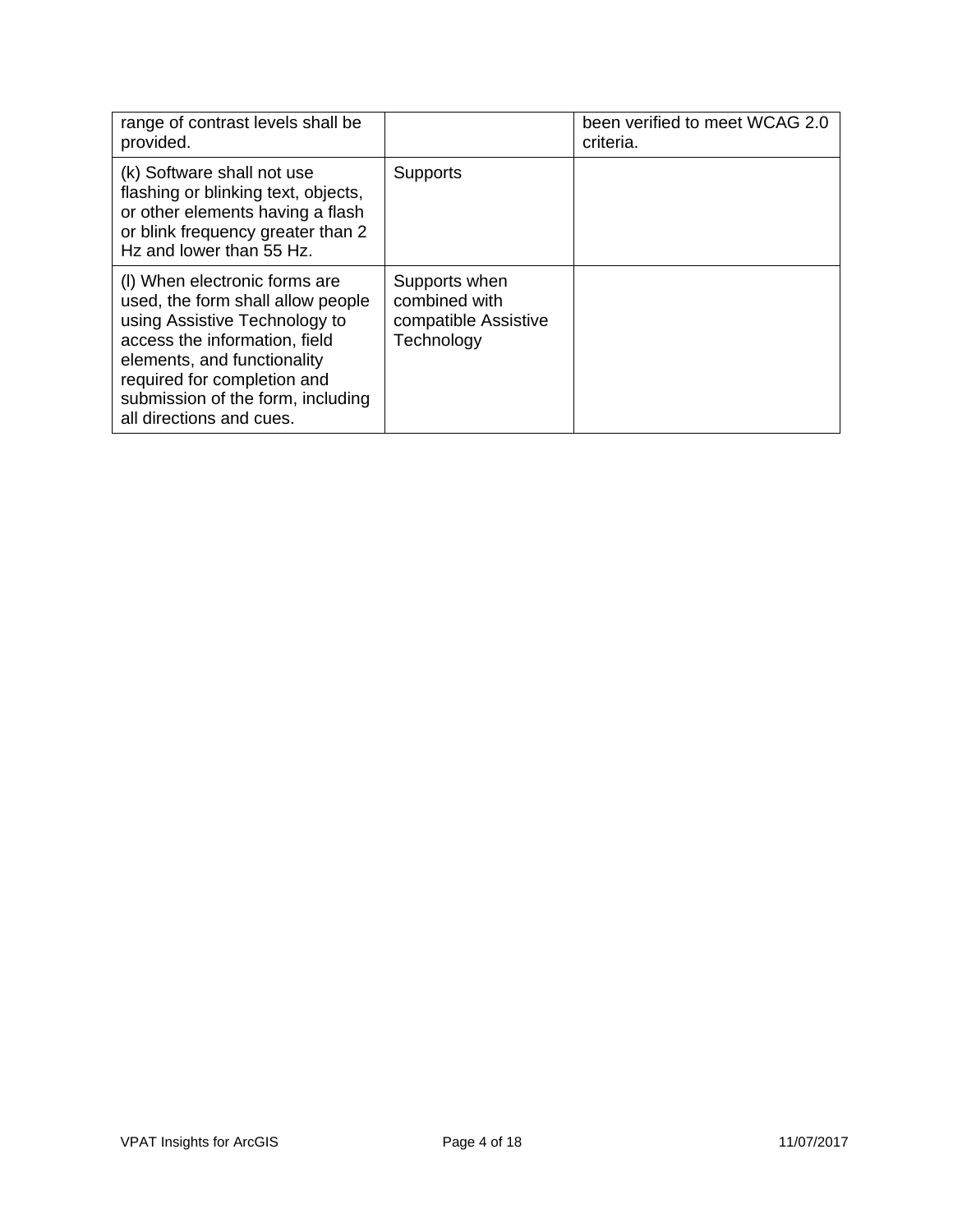| range of contrast levels shall be<br>provided.                                                                                                                                                                                                                      |                                                                      | been verified to meet WCAG 2.0<br>criteria. |
|---------------------------------------------------------------------------------------------------------------------------------------------------------------------------------------------------------------------------------------------------------------------|----------------------------------------------------------------------|---------------------------------------------|
| (k) Software shall not use<br>flashing or blinking text, objects,<br>or other elements having a flash<br>or blink frequency greater than 2<br>Hz and lower than 55 Hz.                                                                                              | <b>Supports</b>                                                      |                                             |
| (I) When electronic forms are<br>used, the form shall allow people<br>using Assistive Technology to<br>access the information, field<br>elements, and functionality<br>required for completion and<br>submission of the form, including<br>all directions and cues. | Supports when<br>combined with<br>compatible Assistive<br>Technology |                                             |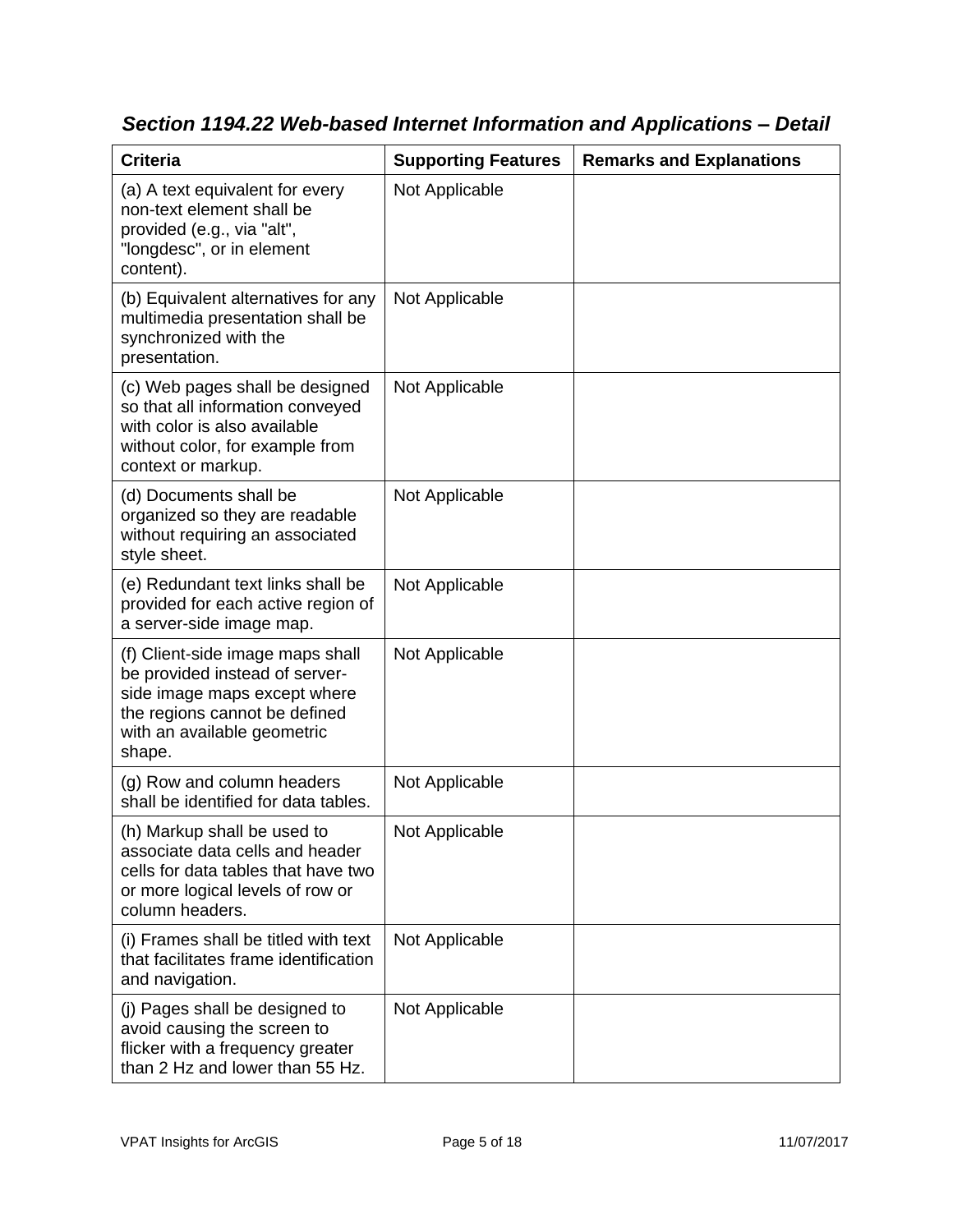| <b>Criteria</b>                                                                                                                                                              | <b>Supporting Features</b> | <b>Remarks and Explanations</b> |
|------------------------------------------------------------------------------------------------------------------------------------------------------------------------------|----------------------------|---------------------------------|
| (a) A text equivalent for every<br>non-text element shall be<br>provided (e.g., via "alt",<br>"longdesc", or in element<br>content).                                         | Not Applicable             |                                 |
| (b) Equivalent alternatives for any<br>multimedia presentation shall be<br>synchronized with the<br>presentation.                                                            | Not Applicable             |                                 |
| (c) Web pages shall be designed<br>so that all information conveyed<br>with color is also available<br>without color, for example from<br>context or markup.                 | Not Applicable             |                                 |
| (d) Documents shall be<br>organized so they are readable<br>without requiring an associated<br>style sheet.                                                                  | Not Applicable             |                                 |
| (e) Redundant text links shall be<br>provided for each active region of<br>a server-side image map.                                                                          | Not Applicable             |                                 |
| (f) Client-side image maps shall<br>be provided instead of server-<br>side image maps except where<br>the regions cannot be defined<br>with an available geometric<br>shape. | Not Applicable             |                                 |
| (g) Row and column headers<br>shall be identified for data tables.                                                                                                           | Not Applicable             |                                 |
| (h) Markup shall be used to<br>associate data cells and header<br>cells for data tables that have two<br>or more logical levels of row or<br>column headers.                 | Not Applicable             |                                 |
| (i) Frames shall be titled with text<br>that facilitates frame identification<br>and navigation.                                                                             | Not Applicable             |                                 |
| (j) Pages shall be designed to<br>avoid causing the screen to<br>flicker with a frequency greater<br>than 2 Hz and lower than 55 Hz.                                         | Not Applicable             |                                 |

*Section 1194.22 Web-based Internet Information and Applications – Detail*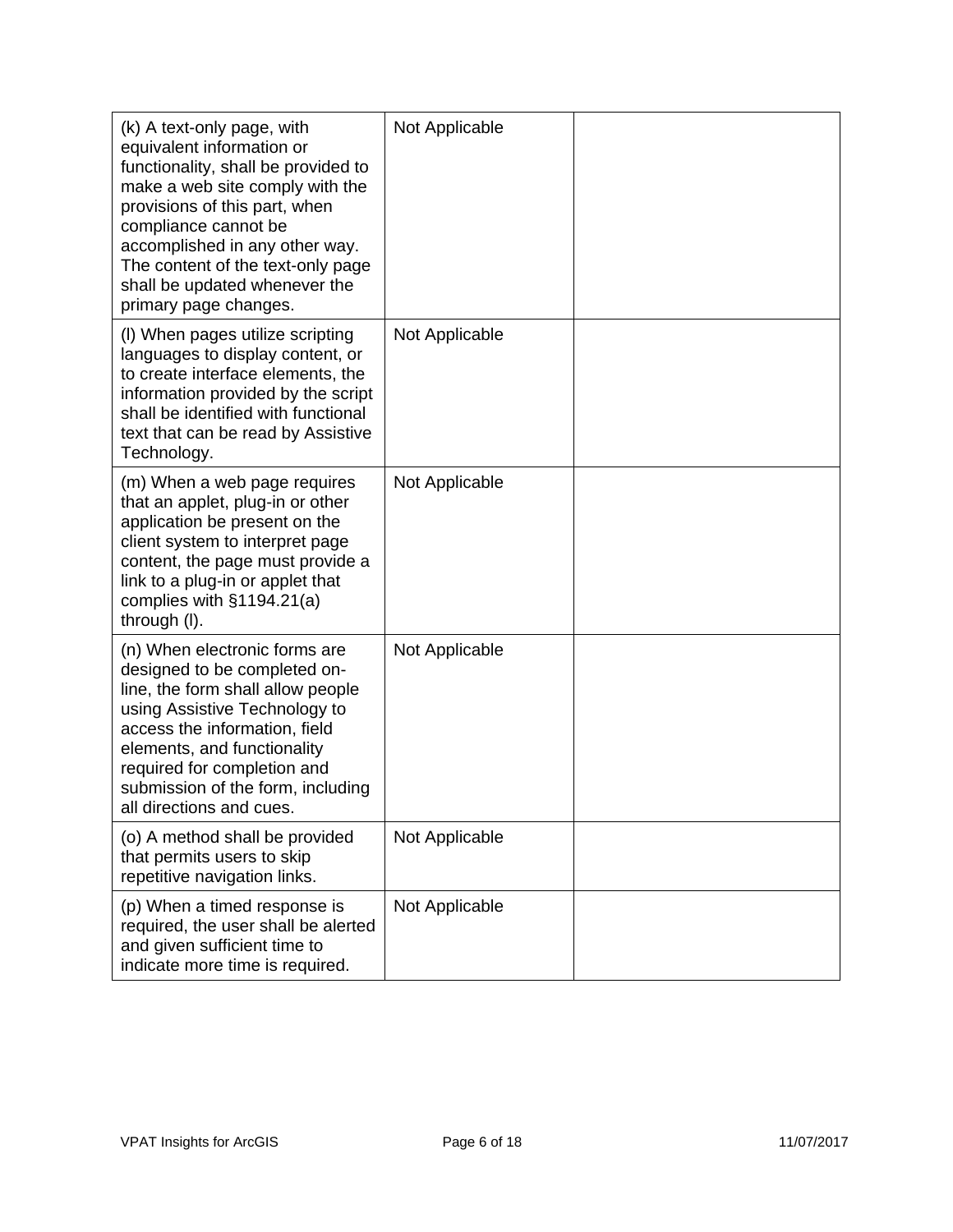| (k) A text-only page, with<br>equivalent information or<br>functionality, shall be provided to<br>make a web site comply with the<br>provisions of this part, when<br>compliance cannot be<br>accomplished in any other way.<br>The content of the text-only page<br>shall be updated whenever the<br>primary page changes. | Not Applicable |  |
|-----------------------------------------------------------------------------------------------------------------------------------------------------------------------------------------------------------------------------------------------------------------------------------------------------------------------------|----------------|--|
| (I) When pages utilize scripting<br>languages to display content, or<br>to create interface elements, the<br>information provided by the script<br>shall be identified with functional<br>text that can be read by Assistive<br>Technology.                                                                                 | Not Applicable |  |
| (m) When a web page requires<br>that an applet, plug-in or other<br>application be present on the<br>client system to interpret page<br>content, the page must provide a<br>link to a plug-in or applet that<br>complies with $§1194.21(a)$<br>through (I).                                                                 | Not Applicable |  |
| (n) When electronic forms are<br>designed to be completed on-<br>line, the form shall allow people<br>using Assistive Technology to<br>access the information, field<br>elements, and functionality<br>required for completion and<br>submission of the form, including<br>all directions and cues.                         | Not Applicable |  |
| (o) A method shall be provided<br>that permits users to skip<br>repetitive navigation links.                                                                                                                                                                                                                                | Not Applicable |  |
| (p) When a timed response is<br>required, the user shall be alerted<br>and given sufficient time to<br>indicate more time is required.                                                                                                                                                                                      | Not Applicable |  |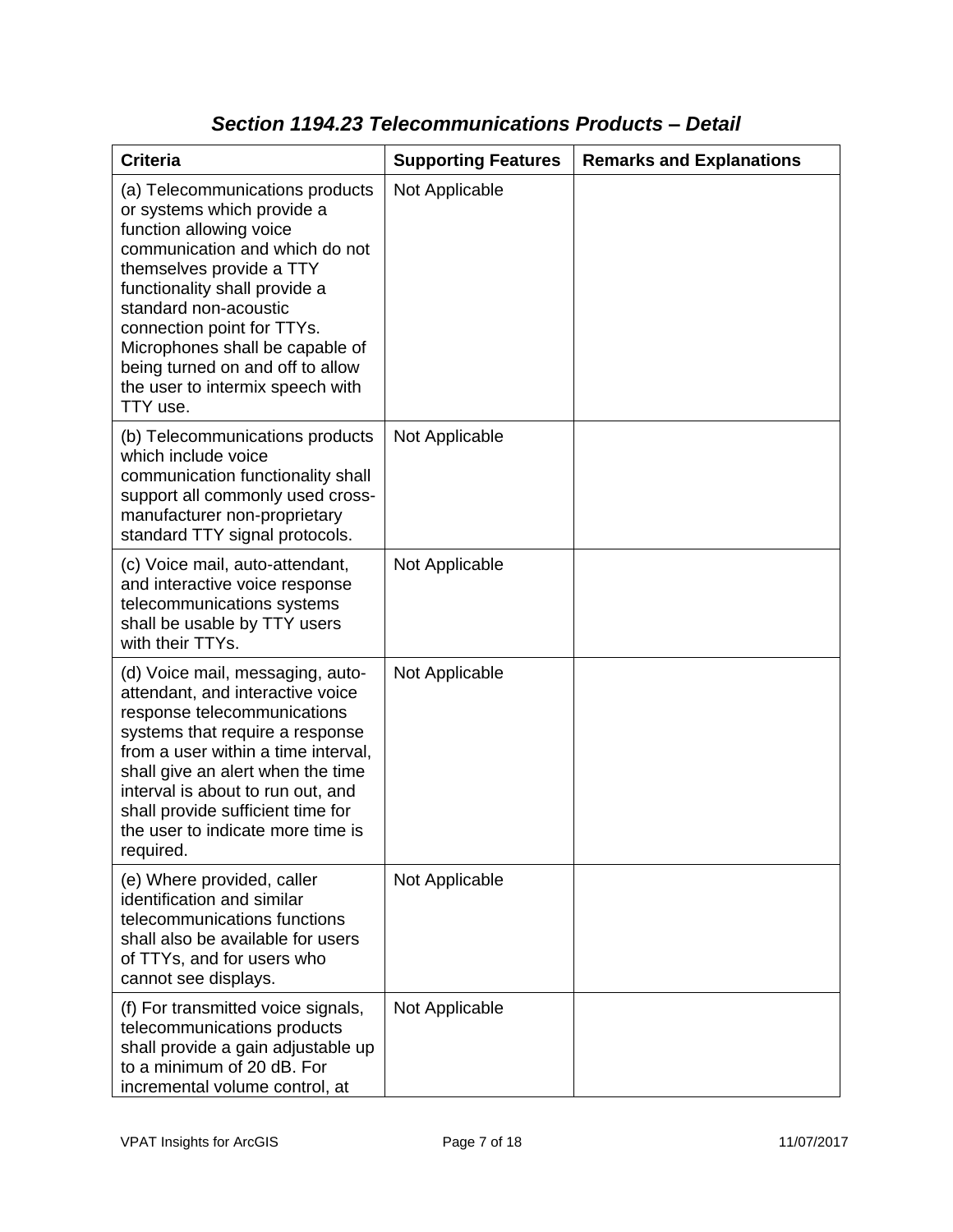| <b>Criteria</b>                                                                                                                                                                                                                                                                                                                                                       | <b>Supporting Features</b> | <b>Remarks and Explanations</b> |
|-----------------------------------------------------------------------------------------------------------------------------------------------------------------------------------------------------------------------------------------------------------------------------------------------------------------------------------------------------------------------|----------------------------|---------------------------------|
| (a) Telecommunications products<br>or systems which provide a<br>function allowing voice<br>communication and which do not<br>themselves provide a TTY<br>functionality shall provide a<br>standard non-acoustic<br>connection point for TTYs.<br>Microphones shall be capable of<br>being turned on and off to allow<br>the user to intermix speech with<br>TTY use. | Not Applicable             |                                 |
| (b) Telecommunications products<br>which include voice<br>communication functionality shall<br>support all commonly used cross-<br>manufacturer non-proprietary<br>standard TTY signal protocols.                                                                                                                                                                     | Not Applicable             |                                 |
| (c) Voice mail, auto-attendant,<br>and interactive voice response<br>telecommunications systems<br>shall be usable by TTY users<br>with their TTYs.                                                                                                                                                                                                                   | Not Applicable             |                                 |
| (d) Voice mail, messaging, auto-<br>attendant, and interactive voice<br>response telecommunications<br>systems that require a response<br>from a user within a time interval,<br>shall give an alert when the time<br>interval is about to run out, and<br>shall provide sufficient time for<br>the user to indicate more time is<br>required.                        | Not Applicable             |                                 |
| (e) Where provided, caller<br>identification and similar<br>telecommunications functions<br>shall also be available for users<br>of TTYs, and for users who<br>cannot see displays.                                                                                                                                                                                   | Not Applicable             |                                 |
| (f) For transmitted voice signals,<br>telecommunications products<br>shall provide a gain adjustable up<br>to a minimum of 20 dB. For<br>incremental volume control, at                                                                                                                                                                                               | Not Applicable             |                                 |

### *Section 1194.23 Telecommunications Products – Detail*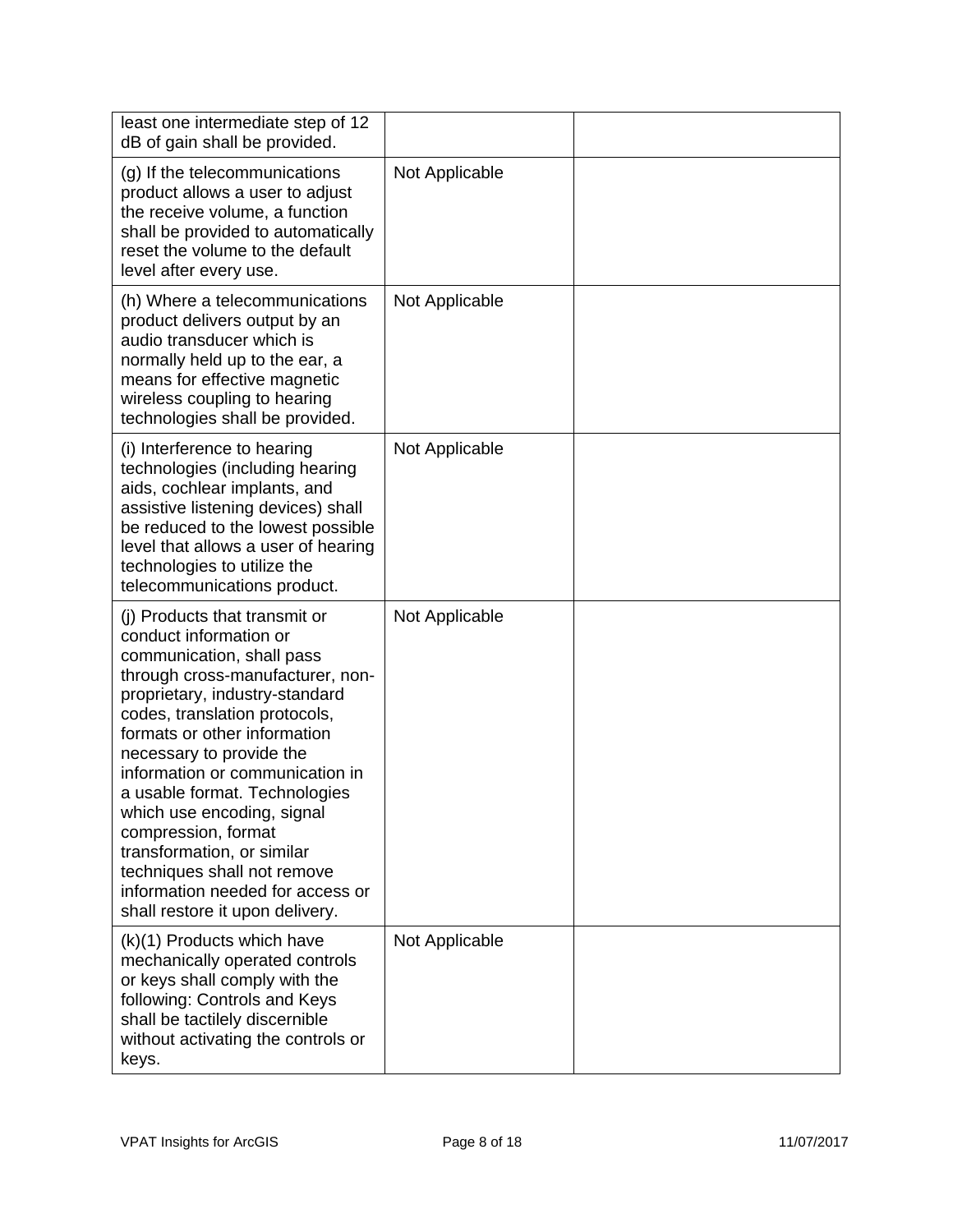| least one intermediate step of 12<br>dB of gain shall be provided.                                                                                                                                                                                                                                                                                                                                                                                                                                                   |                |  |
|----------------------------------------------------------------------------------------------------------------------------------------------------------------------------------------------------------------------------------------------------------------------------------------------------------------------------------------------------------------------------------------------------------------------------------------------------------------------------------------------------------------------|----------------|--|
| (g) If the telecommunications<br>product allows a user to adjust<br>the receive volume, a function<br>shall be provided to automatically<br>reset the volume to the default<br>level after every use.                                                                                                                                                                                                                                                                                                                | Not Applicable |  |
| (h) Where a telecommunications<br>product delivers output by an<br>audio transducer which is<br>normally held up to the ear, a<br>means for effective magnetic<br>wireless coupling to hearing<br>technologies shall be provided.                                                                                                                                                                                                                                                                                    | Not Applicable |  |
| (i) Interference to hearing<br>technologies (including hearing<br>aids, cochlear implants, and<br>assistive listening devices) shall<br>be reduced to the lowest possible<br>level that allows a user of hearing<br>technologies to utilize the<br>telecommunications product.                                                                                                                                                                                                                                       | Not Applicable |  |
| (i) Products that transmit or<br>conduct information or<br>communication, shall pass<br>through cross-manufacturer, non-<br>proprietary, industry-standard<br>codes, translation protocols,<br>formats or other information<br>necessary to provide the<br>information or communication in<br>a usable format. Technologies<br>which use encoding, signal<br>compression, format<br>transformation, or similar<br>techniques shall not remove<br>information needed for access or<br>shall restore it upon delivery. | Not Applicable |  |
| (k)(1) Products which have<br>mechanically operated controls<br>or keys shall comply with the<br>following: Controls and Keys<br>shall be tactilely discernible<br>without activating the controls or<br>keys.                                                                                                                                                                                                                                                                                                       | Not Applicable |  |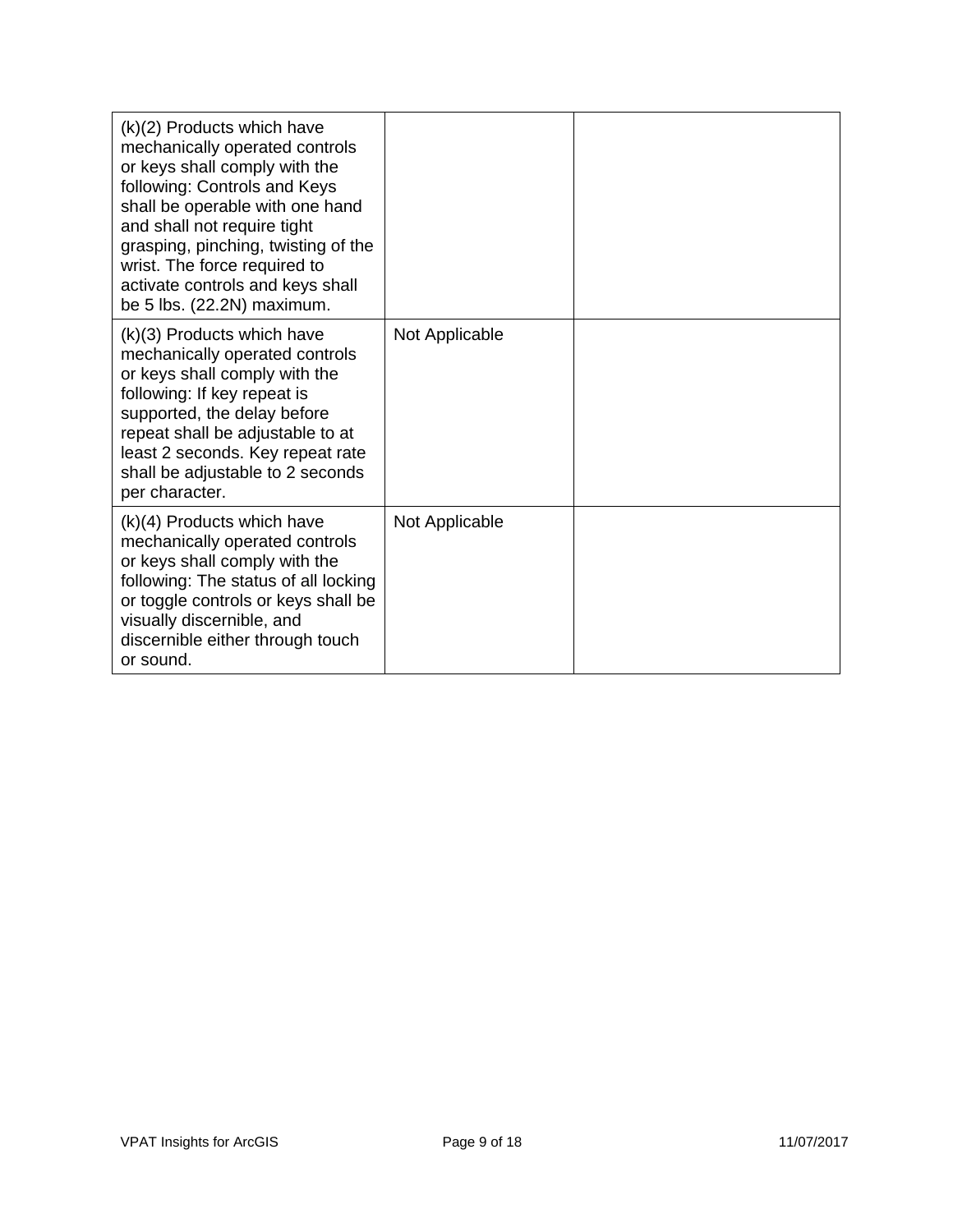| $(k)(2)$ Products which have<br>mechanically operated controls<br>or keys shall comply with the<br>following: Controls and Keys<br>shall be operable with one hand<br>and shall not require tight<br>grasping, pinching, twisting of the<br>wrist. The force required to<br>activate controls and keys shall<br>be 5 lbs. (22.2N) maximum. |                |  |
|--------------------------------------------------------------------------------------------------------------------------------------------------------------------------------------------------------------------------------------------------------------------------------------------------------------------------------------------|----------------|--|
| (k)(3) Products which have<br>mechanically operated controls<br>or keys shall comply with the<br>following: If key repeat is<br>supported, the delay before<br>repeat shall be adjustable to at<br>least 2 seconds. Key repeat rate<br>shall be adjustable to 2 seconds<br>per character.                                                  | Not Applicable |  |
| $(k)(4)$ Products which have<br>mechanically operated controls<br>or keys shall comply with the<br>following: The status of all locking<br>or toggle controls or keys shall be<br>visually discernible, and<br>discernible either through touch<br>or sound.                                                                               | Not Applicable |  |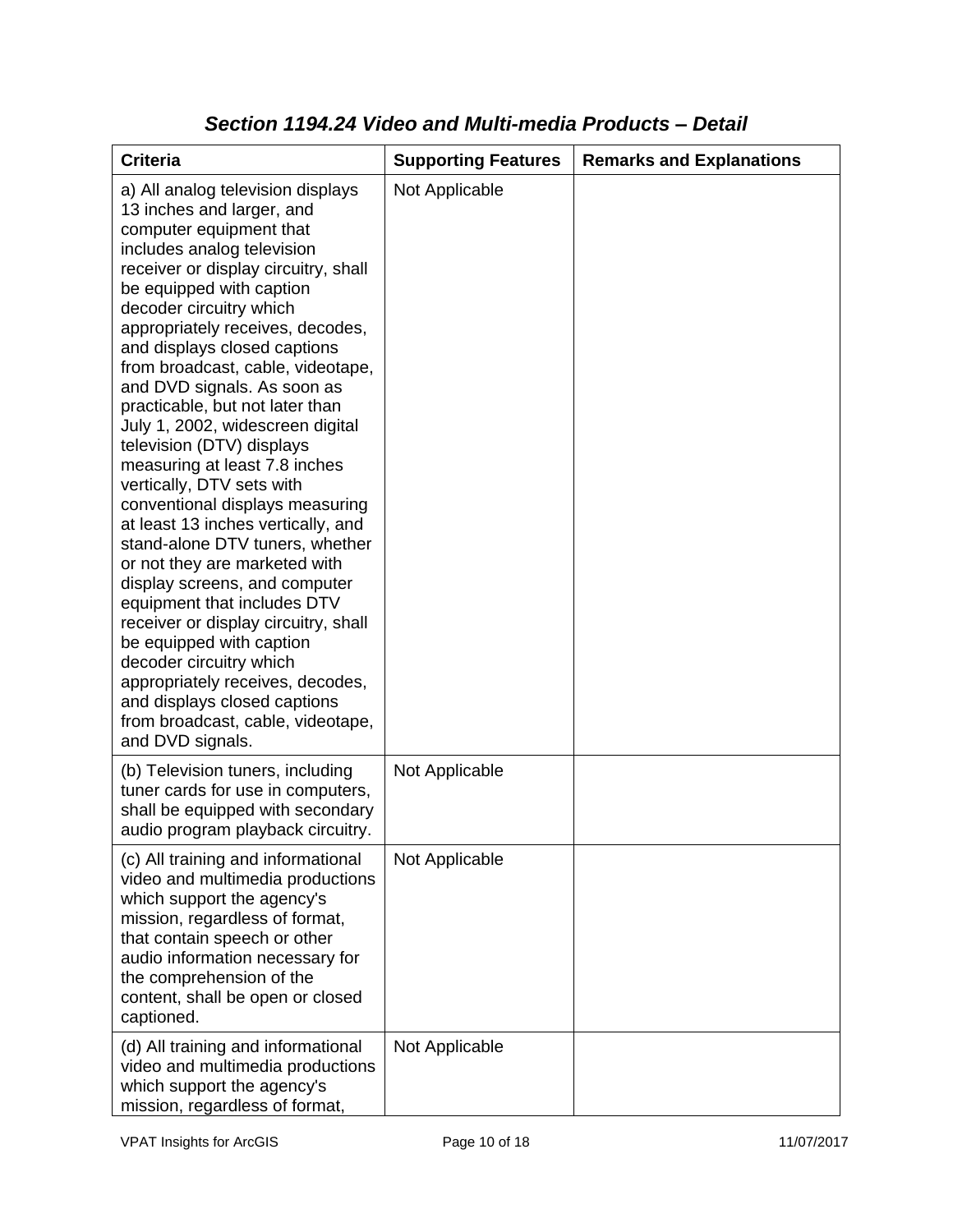| <b>Criteria</b>                                                                                                                                                                                                                                                                                                                                                                                                                                                                                                                                                                                                                                                                                                                                                                                                                                                                                                                                                           | <b>Supporting Features</b> | <b>Remarks and Explanations</b> |
|---------------------------------------------------------------------------------------------------------------------------------------------------------------------------------------------------------------------------------------------------------------------------------------------------------------------------------------------------------------------------------------------------------------------------------------------------------------------------------------------------------------------------------------------------------------------------------------------------------------------------------------------------------------------------------------------------------------------------------------------------------------------------------------------------------------------------------------------------------------------------------------------------------------------------------------------------------------------------|----------------------------|---------------------------------|
| a) All analog television displays<br>13 inches and larger, and<br>computer equipment that<br>includes analog television<br>receiver or display circuitry, shall<br>be equipped with caption<br>decoder circuitry which<br>appropriately receives, decodes,<br>and displays closed captions<br>from broadcast, cable, videotape,<br>and DVD signals. As soon as<br>practicable, but not later than<br>July 1, 2002, widescreen digital<br>television (DTV) displays<br>measuring at least 7.8 inches<br>vertically, DTV sets with<br>conventional displays measuring<br>at least 13 inches vertically, and<br>stand-alone DTV tuners, whether<br>or not they are marketed with<br>display screens, and computer<br>equipment that includes DTV<br>receiver or display circuitry, shall<br>be equipped with caption<br>decoder circuitry which<br>appropriately receives, decodes,<br>and displays closed captions<br>from broadcast, cable, videotape,<br>and DVD signals. | Not Applicable             |                                 |
| (b) Television tuners, including<br>tuner cards for use in computers,<br>shall be equipped with secondary<br>audio program playback circuitry.                                                                                                                                                                                                                                                                                                                                                                                                                                                                                                                                                                                                                                                                                                                                                                                                                            | Not Applicable             |                                 |
| (c) All training and informational<br>video and multimedia productions<br>which support the agency's<br>mission, regardless of format,<br>that contain speech or other<br>audio information necessary for<br>the comprehension of the<br>content, shall be open or closed<br>captioned.                                                                                                                                                                                                                                                                                                                                                                                                                                                                                                                                                                                                                                                                                   | Not Applicable             |                                 |
| (d) All training and informational<br>video and multimedia productions<br>which support the agency's<br>mission, regardless of format,                                                                                                                                                                                                                                                                                                                                                                                                                                                                                                                                                                                                                                                                                                                                                                                                                                    | Not Applicable             |                                 |

#### *Section 1194.24 Video and Multi-media Products – Detail*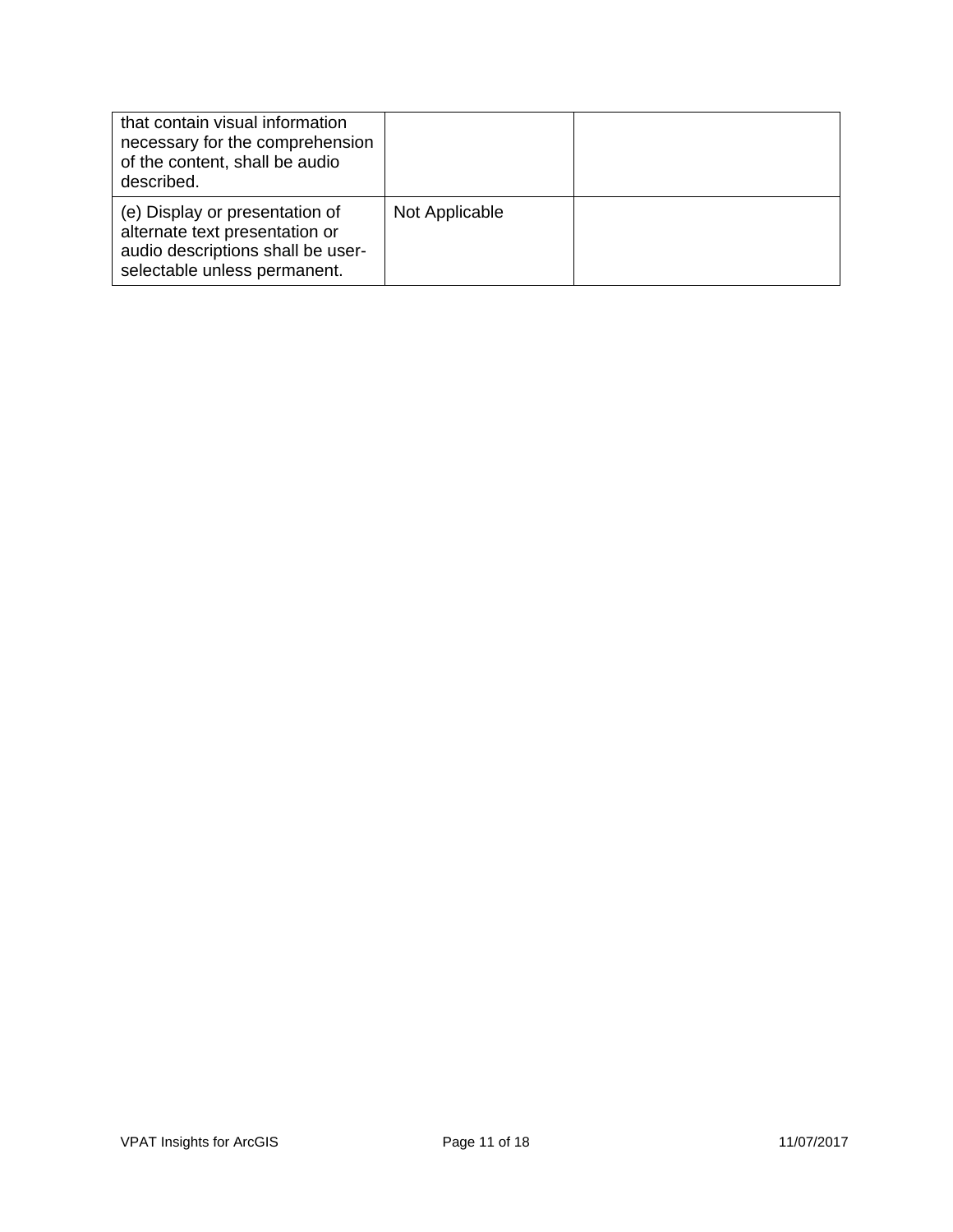| that contain visual information<br>necessary for the comprehension<br>of the content, shall be audio<br>described.                    |                |  |
|---------------------------------------------------------------------------------------------------------------------------------------|----------------|--|
| (e) Display or presentation of<br>alternate text presentation or<br>audio descriptions shall be user-<br>selectable unless permanent. | Not Applicable |  |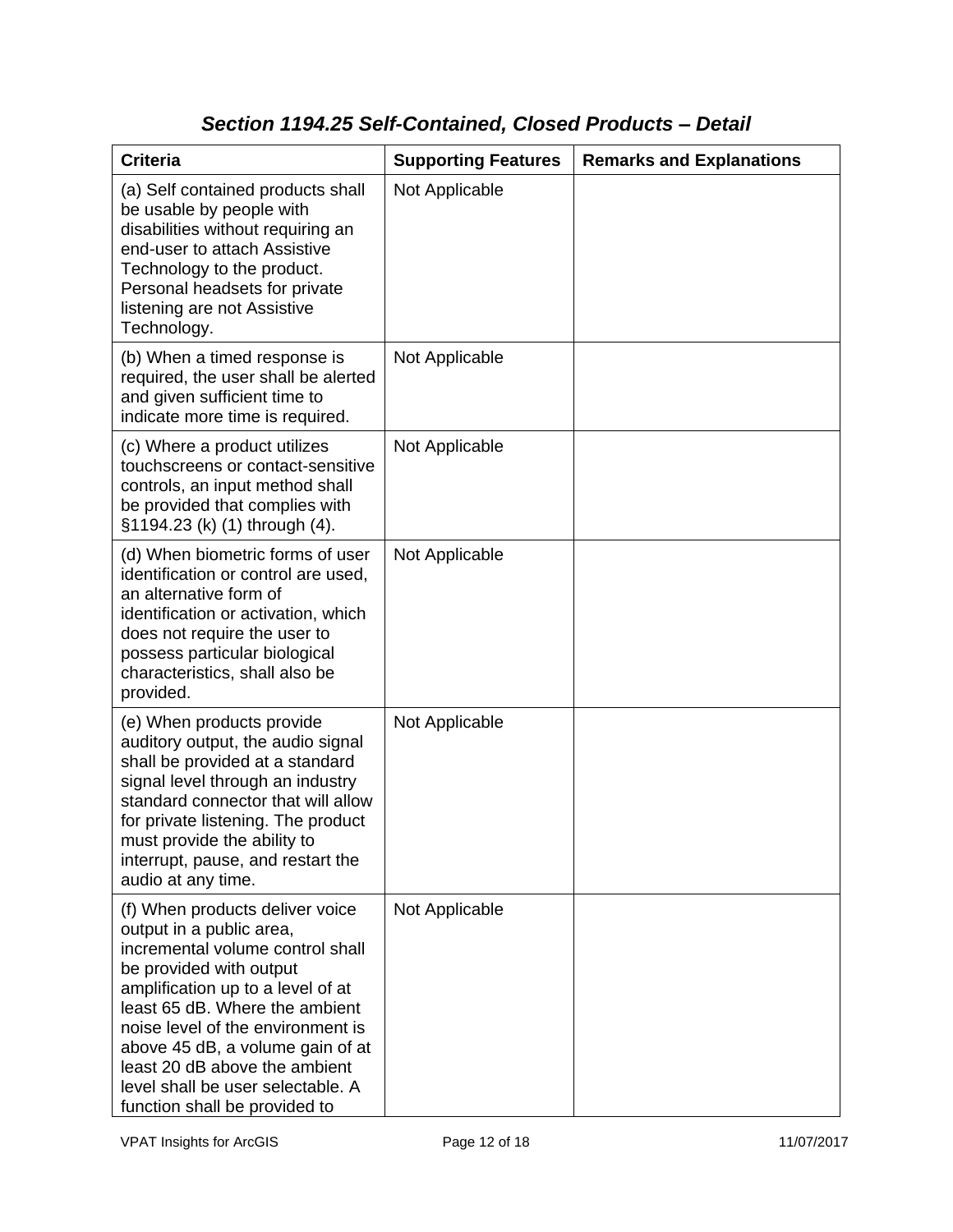# *Section 1194.25 Self-Contained, Closed Products – Detail*

| <b>Criteria</b>                                                                                                                                                                                                                                                                                                                                                                   | <b>Supporting Features</b> | <b>Remarks and Explanations</b> |
|-----------------------------------------------------------------------------------------------------------------------------------------------------------------------------------------------------------------------------------------------------------------------------------------------------------------------------------------------------------------------------------|----------------------------|---------------------------------|
| (a) Self contained products shall<br>be usable by people with<br>disabilities without requiring an<br>end-user to attach Assistive<br>Technology to the product.<br>Personal headsets for private<br>listening are not Assistive<br>Technology.                                                                                                                                   | Not Applicable             |                                 |
| (b) When a timed response is<br>required, the user shall be alerted<br>and given sufficient time to<br>indicate more time is required.                                                                                                                                                                                                                                            | Not Applicable             |                                 |
| (c) Where a product utilizes<br>touchscreens or contact-sensitive<br>controls, an input method shall<br>be provided that complies with<br>§1194.23 (k) (1) through (4).                                                                                                                                                                                                           | Not Applicable             |                                 |
| (d) When biometric forms of user<br>identification or control are used,<br>an alternative form of<br>identification or activation, which<br>does not require the user to<br>possess particular biological<br>characteristics, shall also be<br>provided.                                                                                                                          | Not Applicable             |                                 |
| (e) When products provide<br>auditory output, the audio signal<br>shall be provided at a standard<br>signal level through an industry<br>standard connector that will allow<br>for private listening. The product<br>must provide the ability to<br>interrupt, pause, and restart the<br>audio at any time.                                                                       | Not Applicable             |                                 |
| (f) When products deliver voice<br>output in a public area,<br>incremental volume control shall<br>be provided with output<br>amplification up to a level of at<br>least 65 dB. Where the ambient<br>noise level of the environment is<br>above 45 dB, a volume gain of at<br>least 20 dB above the ambient<br>level shall be user selectable. A<br>function shall be provided to | Not Applicable             |                                 |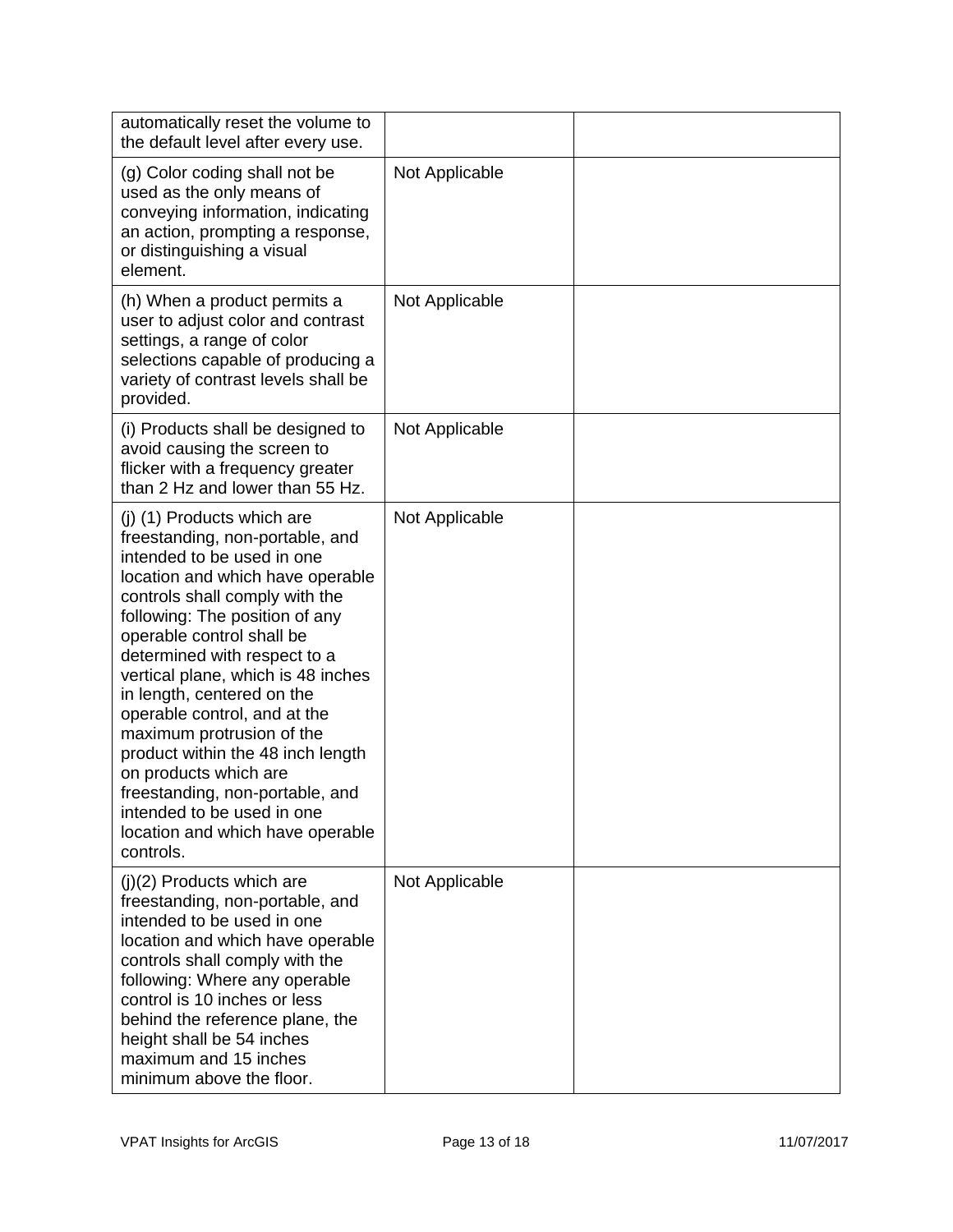| automatically reset the volume to<br>the default level after every use.                                                                                                                                                                                                                                                                                                                                                                                                                                                                                                           |                |  |
|-----------------------------------------------------------------------------------------------------------------------------------------------------------------------------------------------------------------------------------------------------------------------------------------------------------------------------------------------------------------------------------------------------------------------------------------------------------------------------------------------------------------------------------------------------------------------------------|----------------|--|
| (g) Color coding shall not be<br>used as the only means of<br>conveying information, indicating<br>an action, prompting a response,<br>or distinguishing a visual<br>element.                                                                                                                                                                                                                                                                                                                                                                                                     | Not Applicable |  |
| (h) When a product permits a<br>user to adjust color and contrast<br>settings, a range of color<br>selections capable of producing a<br>variety of contrast levels shall be<br>provided.                                                                                                                                                                                                                                                                                                                                                                                          | Not Applicable |  |
| (i) Products shall be designed to<br>avoid causing the screen to<br>flicker with a frequency greater<br>than 2 Hz and lower than 55 Hz.                                                                                                                                                                                                                                                                                                                                                                                                                                           | Not Applicable |  |
| (j) (1) Products which are<br>freestanding, non-portable, and<br>intended to be used in one<br>location and which have operable<br>controls shall comply with the<br>following: The position of any<br>operable control shall be<br>determined with respect to a<br>vertical plane, which is 48 inches<br>in length, centered on the<br>operable control, and at the<br>maximum protrusion of the<br>product within the 48 inch length<br>on products which are<br>freestanding, non-portable, and<br>intended to be used in one<br>location and which have operable<br>controls. | Not Applicable |  |
| $(i)(2)$ Products which are<br>freestanding, non-portable, and<br>intended to be used in one<br>location and which have operable<br>controls shall comply with the<br>following: Where any operable<br>control is 10 inches or less<br>behind the reference plane, the<br>height shall be 54 inches<br>maximum and 15 inches<br>minimum above the floor.                                                                                                                                                                                                                          | Not Applicable |  |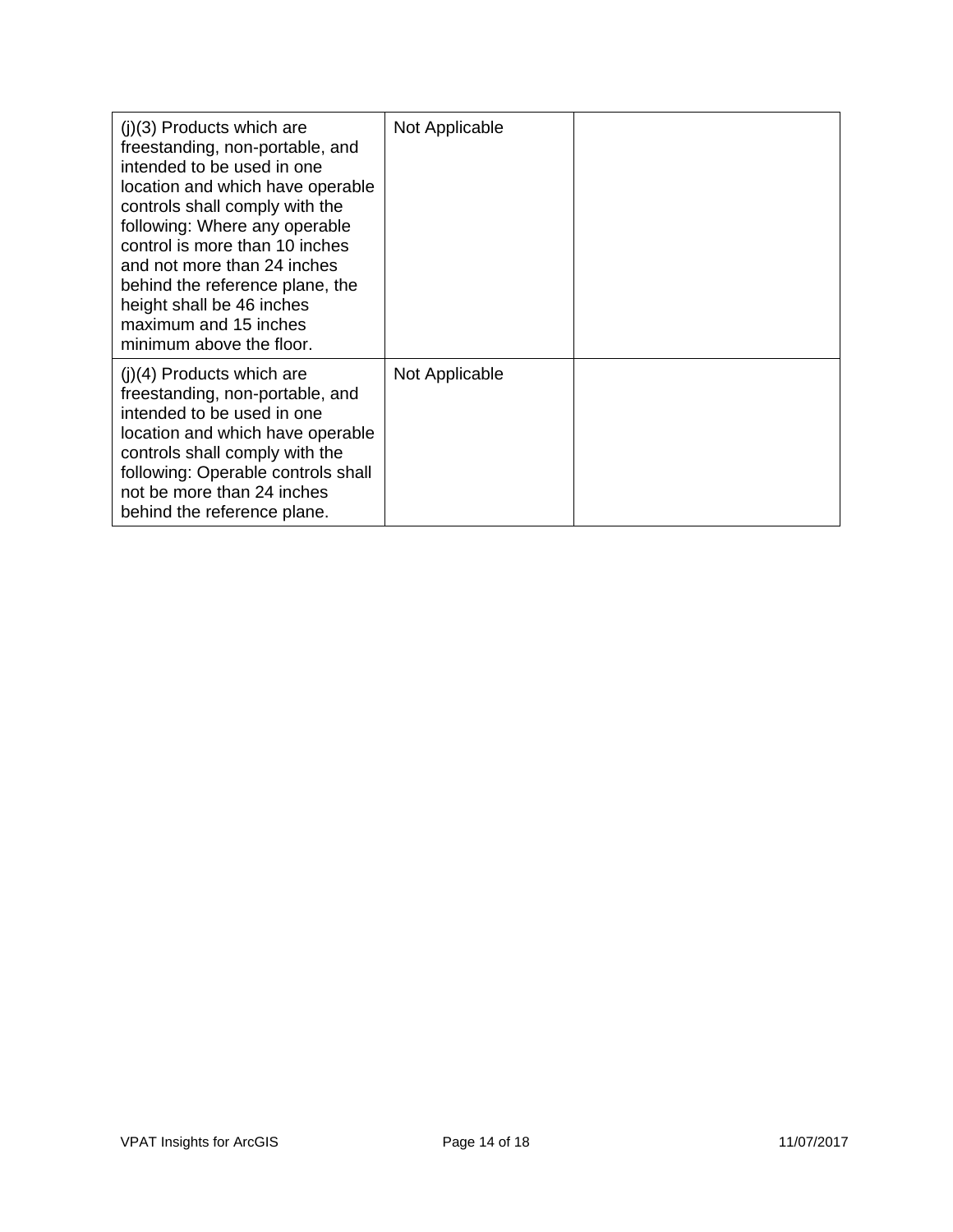| $(i)(3)$ Products which are<br>freestanding, non-portable, and<br>intended to be used in one<br>location and which have operable<br>controls shall comply with the<br>following: Where any operable<br>control is more than 10 inches<br>and not more than 24 inches<br>behind the reference plane, the<br>height shall be 46 inches<br>maximum and 15 inches<br>minimum above the floor. | Not Applicable |  |
|-------------------------------------------------------------------------------------------------------------------------------------------------------------------------------------------------------------------------------------------------------------------------------------------------------------------------------------------------------------------------------------------|----------------|--|
| $(j)(4)$ Products which are<br>freestanding, non-portable, and<br>intended to be used in one<br>location and which have operable<br>controls shall comply with the<br>following: Operable controls shall<br>not be more than 24 inches<br>behind the reference plane.                                                                                                                     | Not Applicable |  |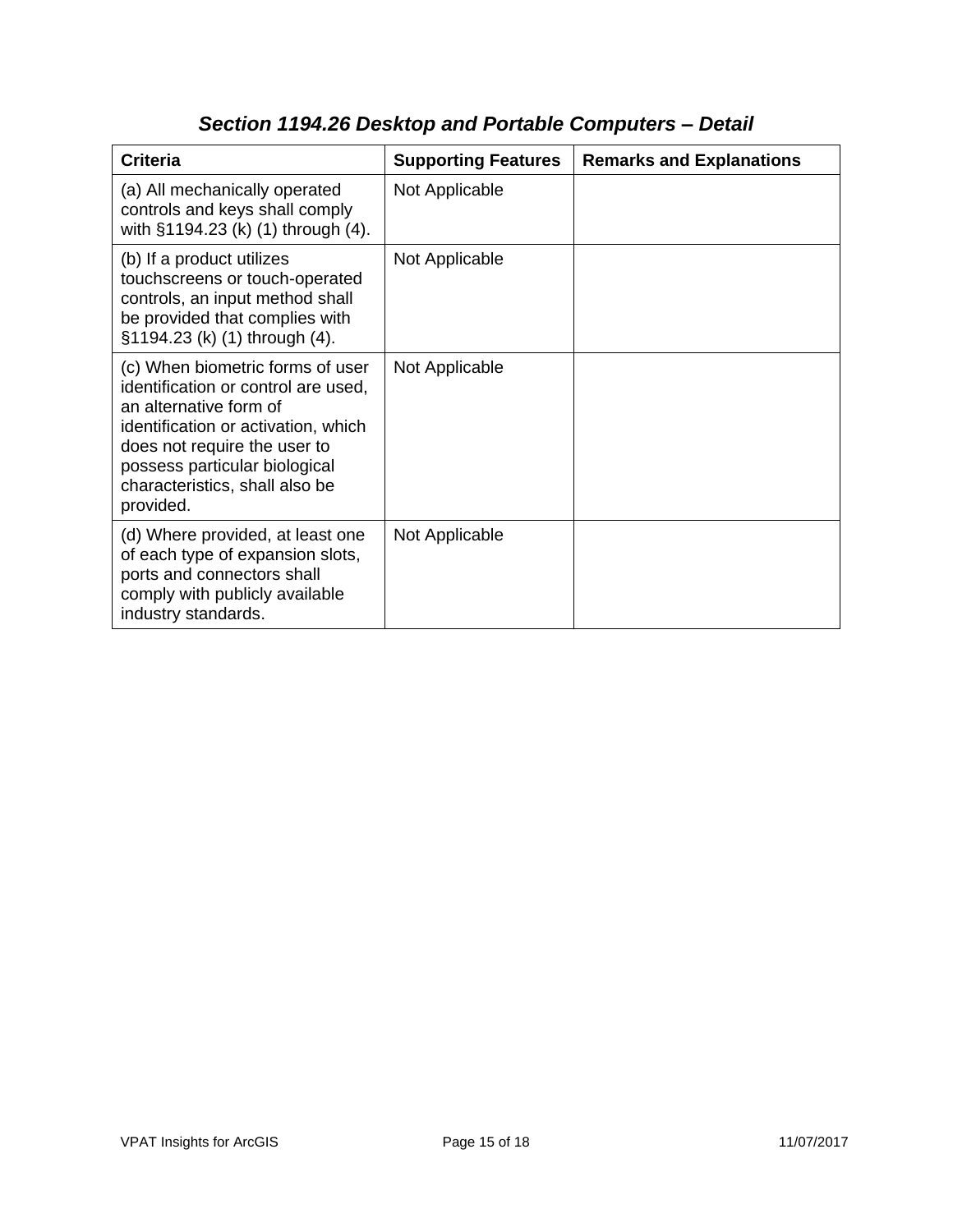| <b>Criteria</b>                                                                                                                                                                                                                                          | <b>Supporting Features</b> | <b>Remarks and Explanations</b> |
|----------------------------------------------------------------------------------------------------------------------------------------------------------------------------------------------------------------------------------------------------------|----------------------------|---------------------------------|
| (a) All mechanically operated<br>controls and keys shall comply<br>with §1194.23 (k) (1) through (4).                                                                                                                                                    | Not Applicable             |                                 |
| (b) If a product utilizes<br>touchscreens or touch-operated<br>controls, an input method shall<br>be provided that complies with<br>§1194.23 (k) (1) through (4).                                                                                        | Not Applicable             |                                 |
| (c) When biometric forms of user<br>identification or control are used,<br>an alternative form of<br>identification or activation, which<br>does not require the user to<br>possess particular biological<br>characteristics, shall also be<br>provided. | Not Applicable             |                                 |
| (d) Where provided, at least one<br>of each type of expansion slots,<br>ports and connectors shall<br>comply with publicly available<br>industry standards.                                                                                              | Not Applicable             |                                 |

# *Section 1194.26 Desktop and Portable Computers – Detail*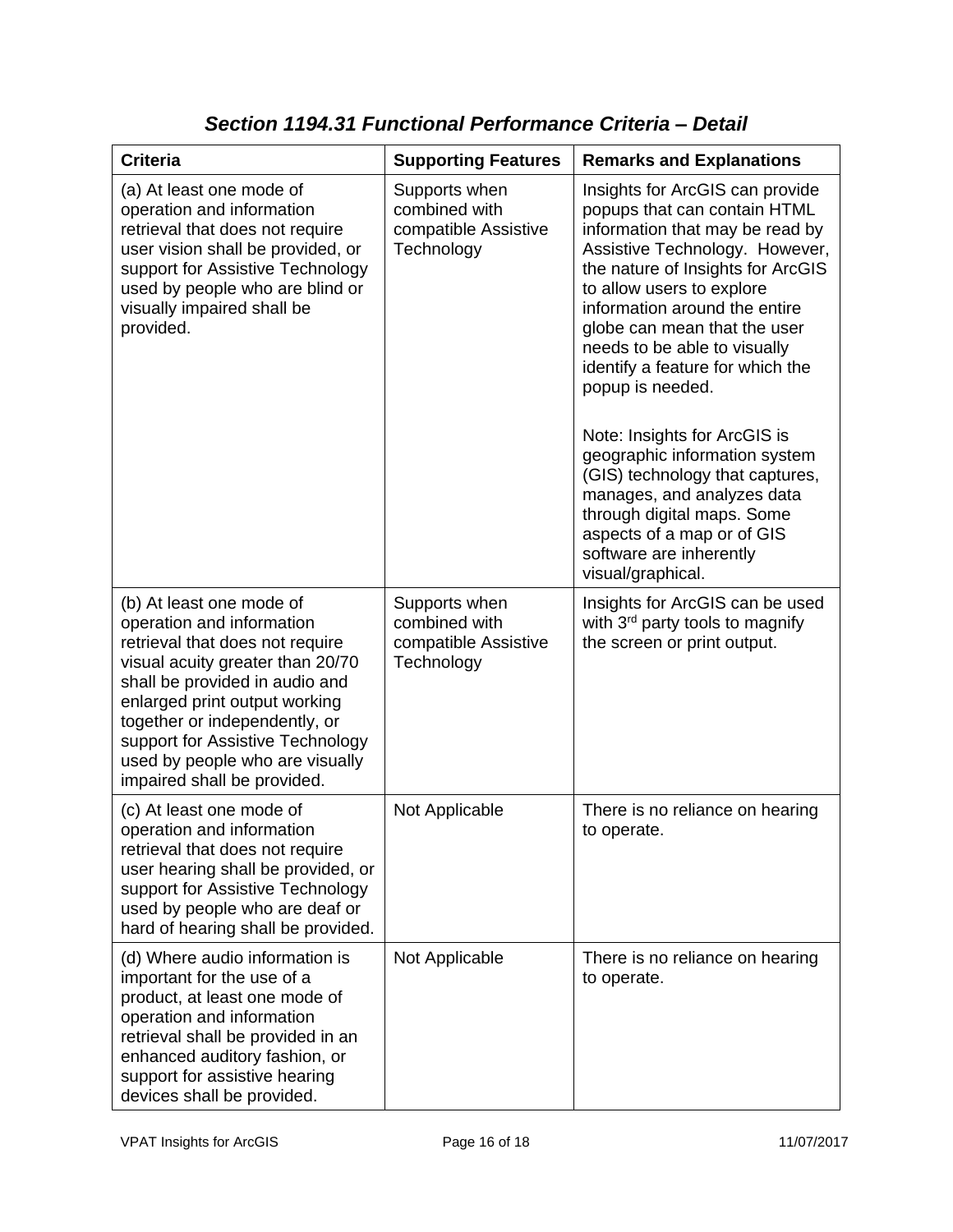| <b>Criteria</b>                                                                                                                                                                                                                                                                                                                        | <b>Supporting Features</b>                                           | <b>Remarks and Explanations</b>                                                                                                                                                                                                                                                                                                                                                                                                                                                                                                                                                                               |
|----------------------------------------------------------------------------------------------------------------------------------------------------------------------------------------------------------------------------------------------------------------------------------------------------------------------------------------|----------------------------------------------------------------------|---------------------------------------------------------------------------------------------------------------------------------------------------------------------------------------------------------------------------------------------------------------------------------------------------------------------------------------------------------------------------------------------------------------------------------------------------------------------------------------------------------------------------------------------------------------------------------------------------------------|
| (a) At least one mode of<br>operation and information<br>retrieval that does not require<br>user vision shall be provided, or<br>support for Assistive Technology<br>used by people who are blind or<br>visually impaired shall be<br>provided.                                                                                        | Supports when<br>combined with<br>compatible Assistive<br>Technology | Insights for ArcGIS can provide<br>popups that can contain HTML<br>information that may be read by<br>Assistive Technology. However,<br>the nature of Insights for ArcGIS<br>to allow users to explore<br>information around the entire<br>globe can mean that the user<br>needs to be able to visually<br>identify a feature for which the<br>popup is needed.<br>Note: Insights for ArcGIS is<br>geographic information system<br>(GIS) technology that captures,<br>manages, and analyzes data<br>through digital maps. Some<br>aspects of a map or of GIS<br>software are inherently<br>visual/graphical. |
| (b) At least one mode of<br>operation and information<br>retrieval that does not require<br>visual acuity greater than 20/70<br>shall be provided in audio and<br>enlarged print output working<br>together or independently, or<br>support for Assistive Technology<br>used by people who are visually<br>impaired shall be provided. | Supports when<br>combined with<br>compatible Assistive<br>Technology | Insights for ArcGIS can be used<br>with 3 <sup>rd</sup> party tools to magnify<br>the screen or print output.                                                                                                                                                                                                                                                                                                                                                                                                                                                                                                 |
| (c) At least one mode of<br>operation and information<br>retrieval that does not require<br>user hearing shall be provided, or<br>support for Assistive Technology<br>used by people who are deaf or<br>hard of hearing shall be provided.                                                                                             | Not Applicable                                                       | There is no reliance on hearing<br>to operate.                                                                                                                                                                                                                                                                                                                                                                                                                                                                                                                                                                |
| (d) Where audio information is<br>important for the use of a<br>product, at least one mode of<br>operation and information<br>retrieval shall be provided in an<br>enhanced auditory fashion, or<br>support for assistive hearing<br>devices shall be provided.                                                                        | Not Applicable                                                       | There is no reliance on hearing<br>to operate.                                                                                                                                                                                                                                                                                                                                                                                                                                                                                                                                                                |

*Section 1194.31 Functional Performance Criteria – Detail*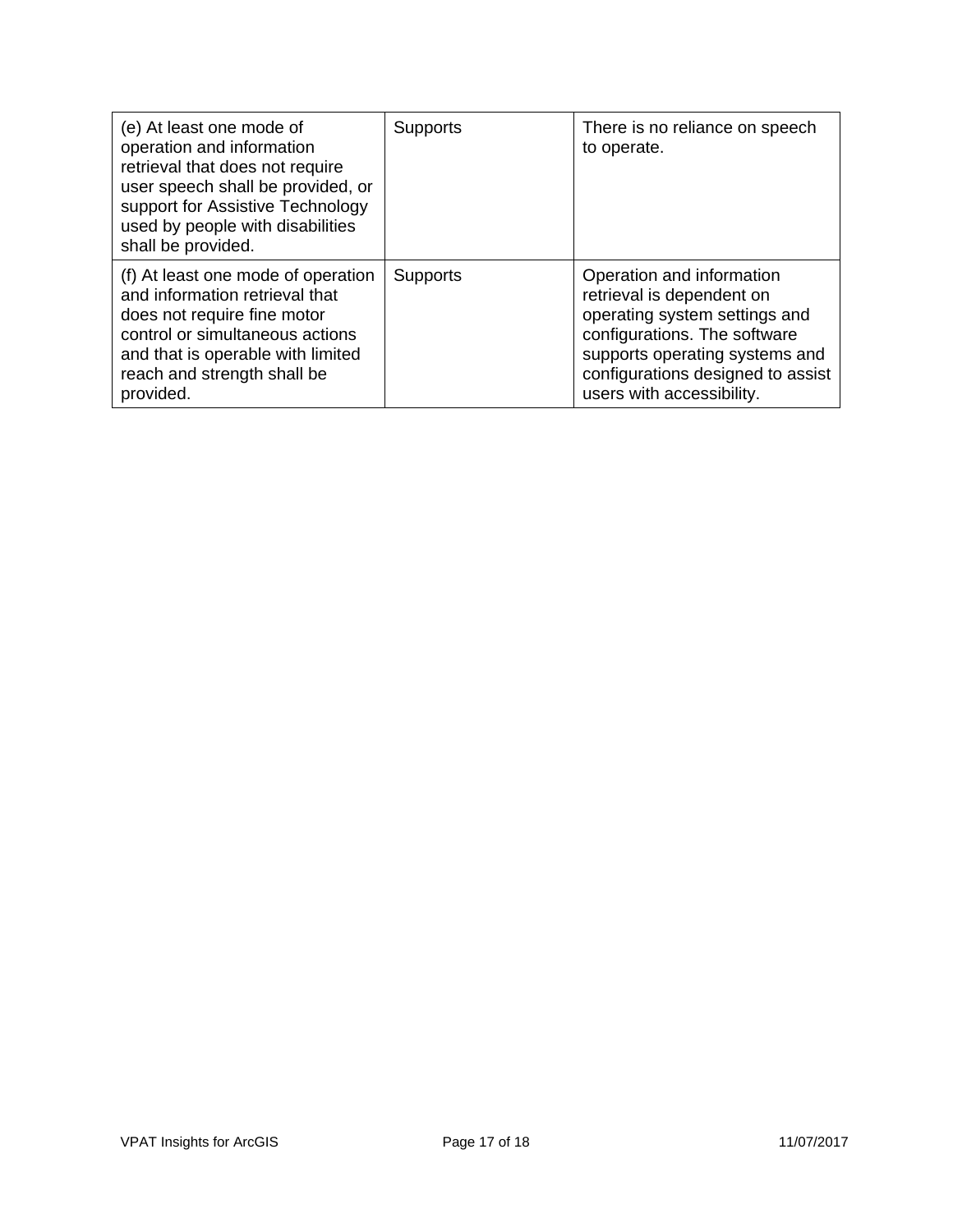| (e) At least one mode of<br>operation and information<br>retrieval that does not require<br>user speech shall be provided, or<br>support for Assistive Technology<br>used by people with disabilities<br>shall be provided. | Supports        | There is no reliance on speech<br>to operate.                                                                                                                                                                               |
|-----------------------------------------------------------------------------------------------------------------------------------------------------------------------------------------------------------------------------|-----------------|-----------------------------------------------------------------------------------------------------------------------------------------------------------------------------------------------------------------------------|
| (f) At least one mode of operation<br>and information retrieval that<br>does not require fine motor<br>control or simultaneous actions<br>and that is operable with limited<br>reach and strength shall be<br>provided.     | <b>Supports</b> | Operation and information<br>retrieval is dependent on<br>operating system settings and<br>configurations. The software<br>supports operating systems and<br>configurations designed to assist<br>users with accessibility. |